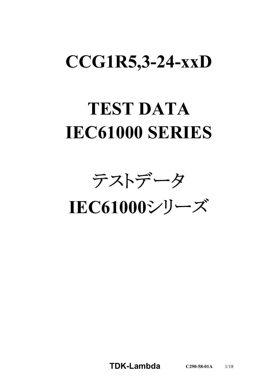# **CCG1R5,3-24-xxD**

# **TEST DATA IEC61000 SERIES**

テストデータ

**IEC61000**シリーズ

**TDK-Lambda C290-58-01A** 1/18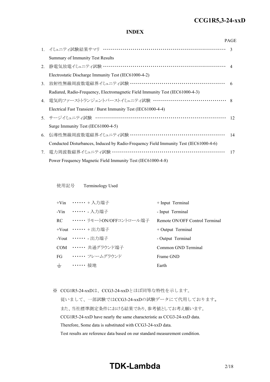#### *RWS 50B-600B Series* **CCG1R5,3-24-xxD**

#### **INDEX**

|    |                                                                                       | <b>PAGE</b>   |
|----|---------------------------------------------------------------------------------------|---------------|
|    | 1. イミュニティ試験結果サマリ ……………………………………………………………                                              | $\mathcal{R}$ |
|    | Summary of Immunity Test Results                                                      |               |
| 2. | 静電気放電イミュニティ試験 …………………………………………………………… 4                                               |               |
|    | Electrostatic Discharge Immunity Test (IEC61000-4-2)                                  |               |
| 3. | 放射性無線周波数電磁界イミュニティ試験 ………………………………………………… 6                                             |               |
|    | Radiated, Radio-Frequency, Electromagnetic Field Immunity Test (IEC61000-4-3)         |               |
|    | 4. 電気的ファーストトランジェントバーストイミュニティ試験 …………………………………… 8                                       |               |
|    | Electrical Fast Transient / Burst Immunity Test (IEC61000-4-4)                        |               |
|    | 5. サージイミュニティ試験 ………………………………………………………………                                               | 12            |
|    | Surge Immunity Test (IEC61000-4-5)                                                    |               |
| 6. | 伝導性無線周波数電磁界イミュニティ試験 ………………………………………………                                                | 14            |
|    | Conducted Disturbances, Induced by Radio-Frequency Field Immunity Test (IEC61000-4-6) |               |
| 7. | 電力周波数磁界イミュニティ試験 ………………………………………………………                                                 | 17            |
|    | Power Frequency Magnetic Field Immunity Test (IEC61000-4-8)                           |               |

使用記号 Terminology Used

|       | +Vin …… + 入力端子                | $+$ Input Terminal             |
|-------|-------------------------------|--------------------------------|
|       | -Vin …… 入力端子                  | - Input Terminal               |
|       | RC ••••••• リモートON/OFFコントロール端子 | Remote ON/OFF Control Terminal |
|       | +Vout $\cdots \cdots$ + 出力端子  | $+$ Output Terminal            |
|       | -Vout ……. 出力端子                | - Output Terminal              |
|       | COM …… 共通グラウンド端子              | Common GND Terminal            |
|       | FG …… フレームグラウンド               | Frame GND                      |
| $\pm$ | •••••• 接地                     | Earth                          |

※ CCG1R5-24-xxDは、CCG3-24-xxDとほぼ同等な特性を示します。

従いまして、一部試験ではCCG3-24-xxDの試験データにて代用しております。 また、当社標準測定条件における結果であり、参考値としてお考え願います。 CCG1R5-24-xxD have nearly the same characteristic as CCG3-24-xxD data. Therefore, Some data is substituted with CCG3-24-xxD data. Test results are reference data based on our standard measurement condition.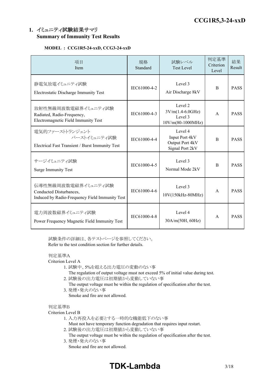# **1.** イミュニティ試験結果サマリ **Summary of Immunity Test Results**

## **MODEL : CCG1R5-24-xxD, CCG3-24-xxD**

| 項目<br>Item                                                                                       | 規格<br>Standard | 試験レベル<br><b>Test Level</b>                                      | 判定基準<br>Criterion<br>Level | 結果<br>Result |
|--------------------------------------------------------------------------------------------------|----------------|-----------------------------------------------------------------|----------------------------|--------------|
| 静電気放電イミュニティ試験<br>Electrostatic Discharge Immunity Test                                           | IEC61000-4-2   | Level 3<br>Air Discharge 8kV                                    | <sub>B</sub>               | <b>PASS</b>  |
| 放射性無線周波数電磁界イミュニティ試験<br>Radiated, Radio-Frequency,<br>Electromagnetic Field Immunity Test         | IEC61000-4-3   | Level 2<br>$3V/m(1.4-6.0GHz)$<br>Level 3<br>$10V/m(80-1000MHz)$ | $\mathsf{A}$               | <b>PASS</b>  |
| 電気的ファーストトランジェント<br>バーストイミュニティ試験<br>Electrical Fast Transient / Burst Immunity Test               | IEC61000-4-4   | Level 4<br>Input Port 4kV<br>Output Port 4kV<br>Signal Port 2kV | $\overline{B}$             | <b>PASS</b>  |
| サージイミュニティ試験<br><b>Surge Immunity Test</b>                                                        | IEC61000-4-5   | Level 3<br>Normal Mode 2kV                                      | B                          | <b>PASS</b>  |
| 伝導性無線周波数電磁界イミュニティ試験<br>Conducted Disturbances,<br>Induced by Radio-Frequency Field Immunity Test | IEC61000-4-6   | Level 3<br>10V(150kHz-80MHz)                                    | $\mathsf{A}$               | <b>PASS</b>  |
| 電力周波数磁界イミュニティ試験<br>Power Frequency Magnetic Field Immunity Test                                  | IEC61000-4-8   | Level 4<br>30A/m(50H, 60Hz)                                     | $\mathsf{A}$               | <b>PASS</b>  |

試験条件の詳細は、各テストページを参照してください。 Refer to the test condition section for further details.

# 判定基準A

Criterion Level A

- 1. 試験中、5%を超える出力電圧の変動のない事
	- The regulation of output voltage must not exceed 5% of initial value during test.
- 2. 試験後の出力電圧は初期値から変動していない事
	- The output voltage must be within the regulation of specification after the test.
- 3. 発煙・発火のない事 Smoke and fire are not allowed.

#### 判定基準B

#### Criterion Level B

- 1. 入力再投入を必要とする一時的な機能低下のない事
	- Must not have temporary function degradation that requires input restart.
- 2. 試験後の出力電圧は初期値から変動していない事
- The output voltage must be within the regulation of specification after the test. 3. 発煙・発火のない事
	- Smoke and fire are not allowed.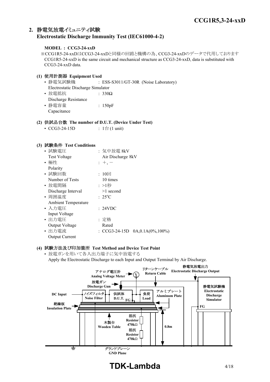# **2.** 静電気放電イミュニティ試験 **Electrostatic Discharge Immunity Test (IEC61000-4-2)**

#### **MODEL : CCG3-24-xxD**

※CCG1R5-24-xxDはCCG3-24-xxDと同様の回路と機構の為、CCG3-24-xxDのデータで代用しております CCG1R5-24-xxD is the same circuit and mechanical structure as CCG3-24-xxD, data is substituted with CCG3-24-xxD data.

# **(1)** 使用計測器 **Equipment Used**

- 静電気試験機 : ESS-S3011/GT-30R (Noise Laboratory) Electrostatic Discharge Simulator • 放電抵抗 7330Ω Discharge Resistance
- 静電容量 | 150pF Capacitance

### **(2)** 供試品台数 **The number of D.U.T. (Device Under Test)**

•  $CCG3-24-15D$  :  $1 \oplus (1 \text{ unit})$ 

#### **(3)** 試験条件 **Test Conditions**

| • 試験電圧                     | :気中放電 8kV                            |
|----------------------------|--------------------------------------|
| <b>Test Voltage</b>        | Air Discharge 8kV                    |
| • 極性                       | $: +, -$                             |
| Polarity                   |                                      |
| • 試験回数                     | : $10 \Box$                          |
| Number of Tests            | 10 times                             |
| • 放電間隔                     | :>1秒                                 |
| Discharge Interval         | $>1$ second                          |
| • 周囲温度                     | $: 25^{\circ}C$                      |
| <b>Ambient Temperature</b> |                                      |
| • 入力雷圧                     | : 24VDC                              |
| Input Voltage              |                                      |
| ・出力電圧                      | : 定格                                 |
| Output Voltage             | Rated                                |
| • 出力電流                     | : CCG3-24-15D $0A, 0.1A(0\%, 100\%)$ |
| <b>Output Current</b>      |                                      |

#### **(4)** 試験方法及び印加箇所 **Test Method and Device Test Point**

• 放電ガンを用いて各入出力端子に気中放電する Apply the Electrostatic Discharge to each Input and Output Terminal by Air Discharge.



# **TDK-Lambda** 4/18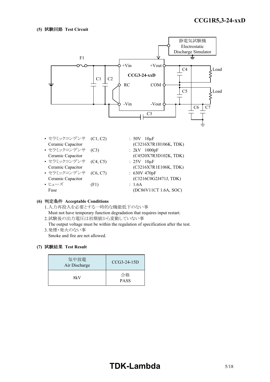

- セラミックコンデンサ (C1, C2) : 50V 10µF Ceramic Capacitor (C3216X7R1H106K, TDK)
- セラミックコンデンサ (C3) : 2kV 1000pF
- セラミックコンデンサ (C4, C5) : 25V 10μF Ceramic Capacitor (C3216X7R1E106K, TDK)
- セラミックコンデンサ (C6, C7) : 630V 470pF Ceramic Capacitor (C3216C0G2J471J, TDK)
- ヒューズ (F1) : 1.6A Fuse (DC86V11CT 1.6A, SOC)
- Ceramic Capacitor (C4520X7R3D102K, TDK)

#### **(6)** 判定条件 **Acceptable Conditions**

- 1.入力再投入を必要とする一時的な機能低下のない事
- Must not have temporary function degradation that requires input restart. 2.試験後の出力電圧は初期値から変動していない事
- The output voltage must be within the regulation of specification after the test. 3.発煙・発火のない事
	- Smoke and fire are not allowed.

| 気中放電<br>Air Discharge | $CCG3-24-15D$     |
|-----------------------|-------------------|
| 8kV                   | 合格<br><b>PASS</b> |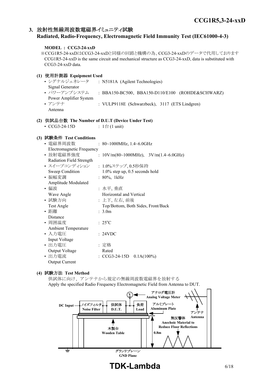# **3.** 放射性無線周波数電磁界イミュニティ試験

## **Radiated, Radio-Frequency, Electromagnetic Field Immunity Test (IEC61000-4-3)**

# **MODEL : CCG3-24-xxD** ※CCG1R5-24-xxDはCCG3-24-xxDと同様の回路と機構の為、CCG3-24-xxDのデータで代用しております CCG1R5-24-xxD is the same circuit and mechanical structure as CCG3-24-xxD, data is substituted with CCG3-24-xxD data. **(1)** 使用計測器 **Equipment Used** • シグナルジェネレータ : N5181A (Agilent Technologies) Signal Generator • パワーアンプシステム : BBA150-BC500, BBA150-D110/E100 (ROHDE&SCHWARZ)

Power Amplifier System • アンテナ : VULP9118E (Schwarzbeck), 3117 (ETS Lindgren) Antenna

# **(2)** 供試品台数 **The Number of D.U.T (Device Under Test)**

•  $CCG3-24-15D$  :  $1 \oplus (1 \text{ unit})$ 

# **(3)** 試験条件 **Test Conditions**

| • 電磁界周波数                              | : $80~1000$ MHz, $1.4~6.0$ GHz                                                       |  |  |  |
|---------------------------------------|--------------------------------------------------------------------------------------|--|--|--|
| Electromagnetic Frequency             |                                                                                      |  |  |  |
| • 放射電磁界強度                             | : $10 \text{V/m}(80 \sim 1000 \text{MHz})$ , $3 \text{V/m}(1.4 \sim 6.0 \text{GHz})$ |  |  |  |
| Radiation Field Strength              |                                                                                      |  |  |  |
| • スイープコンディション                         | : 1.0%ステップ,0.5秒保持                                                                    |  |  |  |
| Sweep Condition                       | $1.0\%$ step up, 0.5 seconds hold                                                    |  |  |  |
| • 振幅変調                                | $: 80\%, 1kHz$                                                                       |  |  |  |
| Amplitude Modulated                   |                                                                                      |  |  |  |
| • 偏波                                  | :水平, 垂直                                                                              |  |  |  |
| Horizontal and Vertical<br>Wave Angle |                                                                                      |  |  |  |
| • 試験方向                                | :上下, 左右, 前後                                                                          |  |  |  |
| Test Angle                            | Top/Bottom, Both Sides, Front/Back                                                   |  |  |  |
| • 距離                                  | : 3.0m                                                                               |  |  |  |
| Distance                              |                                                                                      |  |  |  |
| • 周囲温度                                | $: 25^{\circ}C$                                                                      |  |  |  |
| <b>Ambient Temperature</b>            |                                                                                      |  |  |  |
| ・入力電圧                                 | : 24VDC                                                                              |  |  |  |
| Input Voltage                         |                                                                                      |  |  |  |
| • 出力電圧                                | :定格                                                                                  |  |  |  |
| Output Voltage                        | Rated                                                                                |  |  |  |
| • 出力電流                                | : $CCG3-24-15D$ $0.1A(100%)$                                                         |  |  |  |
| <b>Output Current</b>                 |                                                                                      |  |  |  |

# **(4)** 試験方法 **Test Method**

供試体に向け、アンテナから規定の無線周波数電磁界を放射する Apply the specified Radio Frequency Electromagnetic Field from Antenna to DUT.

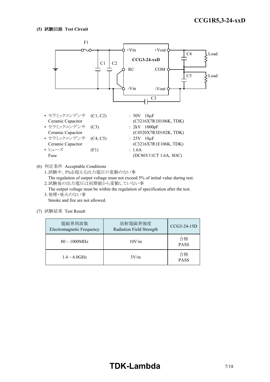

(6) 判定条件 Acceptable Conditions

1.試験中、5%を超える出力電圧の変動のない事

The regulation of output voltage must not exceed 5% of initial value during test. 2.試験後の出力電圧は初期値から変動していない事

The output voltage must be within the regulation of specification after the test. 3.発煙・発火のない事

Smoke and fire are not allowed.

| 電磁界周波数<br><b>Electromagnetic Frequency</b> | 放射電磁界強度<br>Radiation Field Strength |                   |  |  |
|--------------------------------------------|-------------------------------------|-------------------|--|--|
| $80 \sim 1000$ MHz                         | 10V/m                               |                   |  |  |
| $1.4 \sim 6.0$ GHz                         | 3V/m                                | 合格<br><b>PASS</b> |  |  |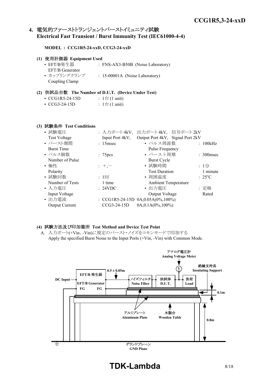# **4.** 電気的ファーストトランジェントバーストイミュニティ試験 **Electrical Fast Transient / Burst Immunity Test (IEC61000-4-4)**

#### **MODEL : CCG1R5-24-xxD, CCG3-24-xxD**

| (1) 使用計測器 Equipment Used |                                   |
|--------------------------|-----------------------------------|
| • EFT/B発生器               | : FNS-AX3-B50B (Noise Laboratory) |
| EFT/B Generator          |                                   |
| • カップリングクランプ             | : 15-00001A (Noise Laboratory)    |
| Coupling Clamp           |                                   |

#### **(2)** 供試品台数 **The Number of D.U.T. (Device Under Test)**

| • CCG1R5-24-15D     | : $1 \oplus (1 \text{ unit})$ |
|---------------------|-------------------------------|
| $\cdot$ CCG3-24-15D | : $1 \oplus (1 \text{ unit})$ |

# **(3)** 試験条件 **Test Conditions**

| • 試験電圧                | : 入力ポート4kV,          | 出力ポート4kV, 信号ポート2kV                      |                 |
|-----------------------|----------------------|-----------------------------------------|-----------------|
| <b>Test Voltage</b>   | Input Port 4kV,      | Output Port 4kV, Signal Port 2kV        |                 |
| • バースト期間              | $: 15$ msec          | • パルス周波数                                | : 100kHz        |
| <b>Burst Time</b>     |                      | Pulse Frequency                         |                 |
| • パルス個数               | : 75 <sub>pres</sub> | • バースト周期                                | $: 300$ msec    |
| Number of Pulse       |                      | <b>Burst Cycle</b>                      |                 |
| • 極性                  | $: +,-$              | • 試験時間                                  | : $1/2$         |
| Polarity              |                      | <b>Test Duration</b>                    | 1 minute        |
| • 試験回数                | $: 1 \square$        | • 周囲温度                                  | $: 25^{\circ}C$ |
| Number of Tests       | 1 time               | <b>Ambient Temperature</b>              |                 |
| • 入力電圧                | : 24VDC              | • 出力電圧                                  | : 定格            |
| Input Voltage         |                      | Output Voltage                          | Rated           |
| • 出力電流                |                      | : CCG1R5-24-15D $0A, 0.05A(0\%, 100\%)$ |                 |
| <b>Output Current</b> | $CCG3-24-15D$        | $0A, 0.1A(0\%, 100\%)$                  |                 |

#### **(4)** 試験方法及び印加箇所 **Test Method and Device Test Point**

A. 入力ポート(+Vin、-Vin)に規定のバースト・ノイズをコモンモードで印加する Apply the specified Burst Noise to the Input Ports (+Vin, -Vin) with Common Mode.



**TDK-Lambda** 8/18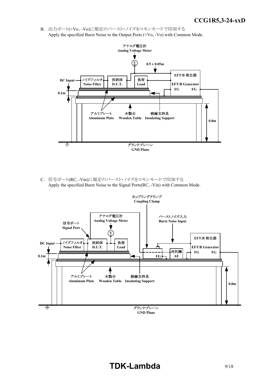B. 出力ポート(+Vo、-Vo)に規定のバースト・ノイズをコモンモードで印加する Apply the specified Burst Noise to the Output Ports (+Vo, -Vo) with Common Mode.



C. 信号ポート(RC, -Vin)に規定のバースト・ノイズをコモンモードで印加する Apply the specified Burst Noise to the Signal Ports(RC, -Vin) with Common Mode.



# **TDK-Lambda** 9/18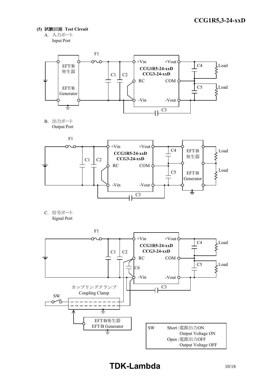- **(5)** 試験回路 **Test Circuit**
	- A. 入力ポート Input Port



B. 出力ポート Output Port



C. 信号ポート Signal Port

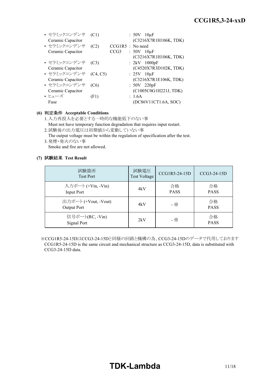| • セラミックコンデンサ      | (C1)     |                    | $:50V$ 10 $\mu$ F     |
|-------------------|----------|--------------------|-----------------------|
| Ceramic Capacitor |          |                    | (C3216X7R1H106K, TDK) |
| • セラミックコンデンサ      | (C2)     | $CCG1R5$ : No need |                       |
| Ceramic Capacitor |          | CCG <sub>3</sub>   | $:50V$ 10 $\mu$ F     |
|                   |          |                    | (C3216X7R1H106K, TDK) |
| • セラミックコンデンサ      | (C3)     |                    | : $2kV$ 1000pF        |
| Ceramic Capacitor |          |                    | (C4520X7R3D102K, TDK) |
| • セラミックコンデンサ      | (C4, C5) |                    | $: 25V$ 10 $\mu$ F    |
| Ceramic Capacitor |          |                    | (C3216X7R1E106K, TDK) |
| • セラミックコンデンサ      | (C6)     |                    | $: 50V$ 220pF         |
| Ceramic Capacitor |          |                    | (C1005C0G1H221J, TDK) |
| • ヒューズ            | (F1)     |                    | : 1.6A                |
| Fuse              |          |                    | (DC86V11CT1.6A, SOC)  |
|                   |          |                    |                       |

#### **(6)** 判定条件 **Acceptable Conditions**

- 1.入力再投入を必要とする一時的な機能低下のない事 Must not have temporary function degradation that requires input restart. 2.試験後の出力電圧は初期値から変動していない事
- The output voltage must be within the regulation of specification after the test. 3.発煙・発火のない事

Smoke and fire are not allowed.

# **(7)** 試験結果 **Test Result**

| 試験箇所<br><b>Test Port</b>              | 試験電圧<br>Test Voltage | CCG1R5-24-15D     | CCG3-24-15D       |
|---------------------------------------|----------------------|-------------------|-------------------|
| 入力ポート (+Vin, -Vin)<br>Input Port      | 4kV                  | 合格<br><b>PASS</b> | 合格<br><b>PASS</b> |
| 出力ポート (+Vout, -Vout)<br>Output Port   | 4kV                  | - ※               | 合格<br><b>PASS</b> |
| 信号ポート(RC, -Vin)<br><b>Signal Port</b> | 2kV                  | - ※               | 合格<br><b>PASS</b> |

※CCG1R5-24-15DはCCG3-24-15Dと同様の回路と機構の為、CCG3-24-15Dのデータで代用しております CCG1R5-24-15D is the same circuit and mechanical structure as CCG3-24-15D, data is substituted with CCG3-24-15D data.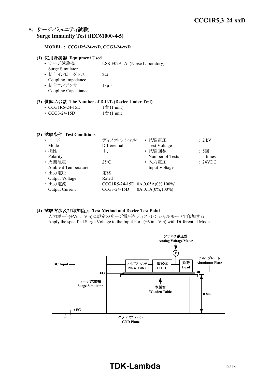# **5.** サージイミュニティ試験 **Surge Immunity Test (IEC61000-4-5)**

#### **MODEL : CCG1R5-24-xxD, CCG3-24-xxD**

| (1) 使用計測器 Equipment Used |                                 |
|--------------------------|---------------------------------|
| • サージ試験機                 | : LSS-F02A1A (Noise Laboratory) |
| Surge Simulator          |                                 |
| • 結合インピーダンス              | $\therefore$ 2.0                |
| Coupling Impedance       |                                 |
| • 結合コンデンサ                | : $18 \mu F$                    |
| Coupling Capacitance     |                                 |

#### **(2)** 供試品台数 **The Number of D.U.T.(Device Under Test)**

| • $CCG1R5-24-15D$ | : $1 \oplus (1 \text{ unit})$ |
|-------------------|-------------------------------|
|                   |                               |

| $\cdot$ CCG3-24-15D | : $1 \oplus (1 \text{ unit})$ |
|---------------------|-------------------------------|
|---------------------|-------------------------------|

#### **(3)** 試験条件 **Test Conditions**

|                          | • 試験電圧                 | $: 2$ kV                                               |
|--------------------------|------------------------|--------------------------------------------------------|
| Differential             | <b>Test Voltage</b>    |                                                        |
| $: +, -$                 | • 試験回数                 | : 5回                                                   |
|                          | Number of Tests        | 5 times                                                |
| $\div$ 25 <sup>°</sup> C | • 入力電圧                 | : 24VDC                                                |
|                          | Input Voltage          |                                                        |
| : 定格                     |                        |                                                        |
| Rated                    |                        |                                                        |
|                          |                        |                                                        |
| CCG3-24-15D              | $0A, 0.1A(0\%, 100\%)$ |                                                        |
|                          |                        | : ディファレンシャル<br>: CCG1R5-24-15D $0A, 0.05A(0\%, 100\%)$ |

#### **(4)** 試験方法及び印加箇所 **Test Method and Device Test Point**

入力ポート(+Vin、-Vin)に規定のサージ電圧をディファレンシャルモードで印加する Apply the specified Surge Voltage to the Input Ports(+Vin, -Vin) with Differential Mode.

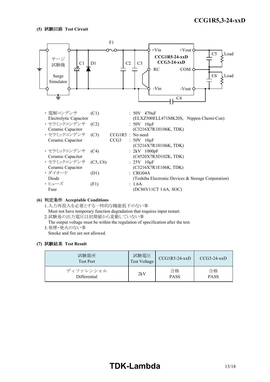

#### **(6)** 判定条件 **Acceptable Conditions**

1.入力再投入を必要とする一時的な機能低下のない事 Must not have temporary function degradation that requires input restart.

- 2.試験後の出力電圧は初期値から変動していない事
- The output voltage must be within the regulation of specification after the test.
- 3.発煙・発火のない事

Smoke and fire are not allowed.

| 試験箇所<br><b>Test Port</b> | 試験電圧<br><b>Test Voltage</b> | $CCG1R5-24-xxD$ | $CCG3-24-xxD$ |
|--------------------------|-----------------------------|-----------------|---------------|
| ディファレンシャル                | 2kV                         | 合格              | 合格            |
| Differential             |                             | <b>PASS</b>     | <b>PASS</b>   |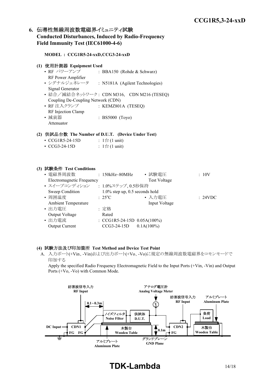# **6.** 伝導性無線周波数電磁界イミュニティ試験 **Conducted Disturbances, Induced by Radio-Frequency Field Immunity Test (IEC61000-4-6)**

#### **MODEL : CCG1R5-24-xxD,CCG3-24-xxD**

#### **(1)** 使用計測器 **Equipment Used**

• RF パワーアンプ : BBA150 (Rohde & Schwarz) RF Power Amplifier • シグナルジェネレータ : N5181A (Agilent Technologies) Signal Generator • 結合/減結合ネットワーク: CDN M316, CDN M216 (TESEQ) Coupling De-Coupling Network (CDN) • RF 注入クランプ : KEMZ801A (TESEQ) RF Injection Clamp • 減衰器 : BS5000 (Toyo) Attenuator

#### **(2)** 供試品台数 **The Number of D.U.T. (Device Under Test)**

• CCG3-24-15D :  $1 \oplus (1 \text{ unit})$ 

#### **(3)** 試験条件 **Test Conditions**

|                                  | • 試験電圧                               | :10V                                                                                                       |
|----------------------------------|--------------------------------------|------------------------------------------------------------------------------------------------------------|
| <b>Electromagnetic Frequency</b> | <b>Test Voltage</b>                  |                                                                                                            |
|                                  |                                      |                                                                                                            |
|                                  |                                      |                                                                                                            |
| $: 25^{\circ}C$                  | • 入力電圧                               | : 24VDC                                                                                                    |
|                                  | Input Voltage                        |                                                                                                            |
| : 定格                             |                                      |                                                                                                            |
| Rated                            |                                      |                                                                                                            |
|                                  |                                      |                                                                                                            |
|                                  |                                      |                                                                                                            |
|                                  | $: 150kHz \sim 80MHz$<br>CCG3-24-15D | : 1.0%ステップ, 0.5秒保持<br>$1.0\%$ step up, 0.5 seconds hold<br>: CCG1R5-24-15D $0.05A(100\%)$<br>$0.1A(100\%)$ |

#### **(4)** 試験方法及び印加箇所 **Test Method and Device Test Point**

A. 入力ポート(+Vin、-Vin)および出力ポート(+Vo、-Vo)に規定の無線周波数電磁界をコモンモードで 印加する

Apply the specified Radio Frequency Electromagnetic Field to the Input Ports (+Vin, -Vin) and Output Ports (+Vo, -Vo) with Common Mode.



# **TDK-Lambda** 14/18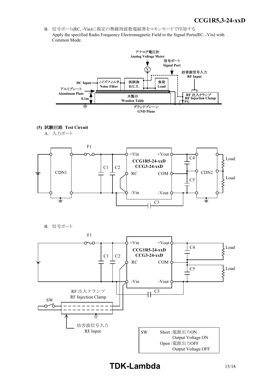*INSTRUCTION MANUAL* B. 信号ポート(RC, -Vin)に規定の無線周波数電磁界をコモンモードで印加する Apply the specified Radio Frequency Electromagnetic Field to the Signal Ports(RC, -Vin) with Common Mode.



**(5)** 試験回路 **Test Circuit**

A. 入力ポート



B. 信号ポート

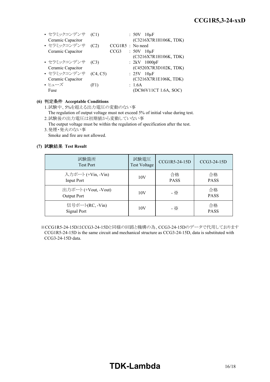| • セラミックコンデンサ (C1)     |      |                    | $: 50V$ 10 $\mu$ F    |
|-----------------------|------|--------------------|-----------------------|
| Ceramic Capacitor     |      |                    | (C3216X7R1H106K, TDK) |
| • セラミックコンデンサ (C2)     |      | $CCG1R5$ : No need |                       |
| Ceramic Capacitor     |      | CCG <sub>3</sub>   | $:50V$ 10 $\mu$ F     |
|                       |      |                    | (C3216X7R1H106K, TDK) |
| • セラミックコンデンサ (C3)     |      |                    | : $2kV$ 1000pF        |
| Ceramic Capacitor     |      |                    | (C4520X7R3D102K, TDK) |
| • セラミックコンデンサ (C4, C5) |      |                    | $: 25V$ 10 $\mu$ F    |
| Ceramic Capacitor     |      |                    | (C3216X7R1E106K, TDK) |
| • ヒューズ                | (F1) |                    | : 1.6A                |
| Fuse                  |      |                    | (DC86V11CT 1.6A, SOC) |

#### **(6)** 判定条件 **Acceptable Conditions**

1.試験中、5%を超える出力電圧の変動のない事

The regulation of output voltage must not exceed 5% of initial value during test. 2.試験後の出力電圧は初期値から変動していない事

The output voltage must be within the regulation of specification after the test. 3.発煙・発火のない事

Smoke and fire are not allowed.

#### **(7)** 試験結果 **Test Result**

| 試験箇所<br><b>Test Port</b>                | 試験電圧<br><b>Test Voltage</b> | CCG1R5-24-15D     | CCG3-24-15D       |
|-----------------------------------------|-----------------------------|-------------------|-------------------|
| 入力ポート (+Vin, -Vin)<br><b>Input Port</b> | 10V                         | 合格<br><b>PASS</b> | 合格<br><b>PASS</b> |
| 出力ポート (+Vout, -Vout)<br>Output Port     | 10V                         | - ※               | 合格<br><b>PASS</b> |
| 信号ポート(RC, -Vin)<br>Signal Port          | 10V                         | - ※               | 合格<br><b>PASS</b> |

※CCG1R5-24-15DはCCG3-24-15Dと同様の回路と機構の為、CCG3-24-15Dのデータで代用しております CCG1R5-24-15D is the same circuit and mechanical structure as CCG3-24-15D, data is substituted with CCG3-24-15D data.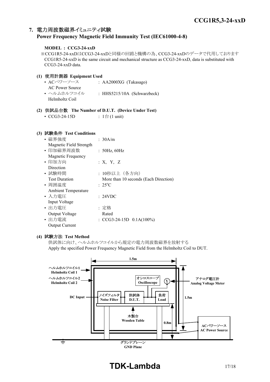# **7.** 電力周波数磁界イミュニティ試験 **Power Frequency Magnetic Field Immunity Test (IEC61000-4-8)**

#### **MODEL : CCG3-24-xxD**

※CCG1R5-24-xxDはCCG3-24-xxDと同様の回路と機構の為、CCG3-24-xxDのデータで代用しております CCG1R5-24-xxD is the same circuit and mechanical structure as CCG3-24-xxD, data is substituted with CCG3-24-xxD data.

## **(1)** 使用計測器 **Equipment Used**

• ACパワーソース : AA2000XG (Takasago) AC Power Source • ヘルムホルツコイル : HHS5215/10A (Schwarzbeck) Helmholtz Coil

# **(2)** 供試品台数 **The Number of D.U.T. (Device Under Test)**

• CCG3-24-15D :  $1 \oplus (1 \text{ unit})$ 

#### **(3)** 試験条件 **Test Conditions**

| • 磁界強度                     | : 30A/m                               |
|----------------------------|---------------------------------------|
| Magnetic Field Strength    |                                       |
| • 印加磁界周波数                  | : 50Hz, 60Hz                          |
| Magnetic Frequency         |                                       |
| • 印加方向                     | : X, Y, Z                             |
| Direction                  |                                       |
| • 試験時間                     | : 10秒以上(各方向)                          |
| <b>Test Duration</b>       | More than 10 seconds (Each Direction) |
| • 周囲温度                     | $: 25^{\circ}C$                       |
| <b>Ambient Temperature</b> |                                       |
| • 入力電圧                     | : 24VDC                               |
| Input Voltage              |                                       |
| • 出力電圧                     | : 定格                                  |
| Output Voltage             | Rated                                 |
| • 出力電流                     | : $CCG3-24-15D$ $0.1A(100%)$          |
| <b>Output Current</b>      |                                       |

#### **(4)** 試験方法 **Test Method**

供試体に向け、ヘルムホルツコイルから規定の電力周波数磁界を放射する Apply the specified Power Frequency Magnetic Field from the Helmholtz Coil to DUT.



# **TDK-Lambda** 17/18